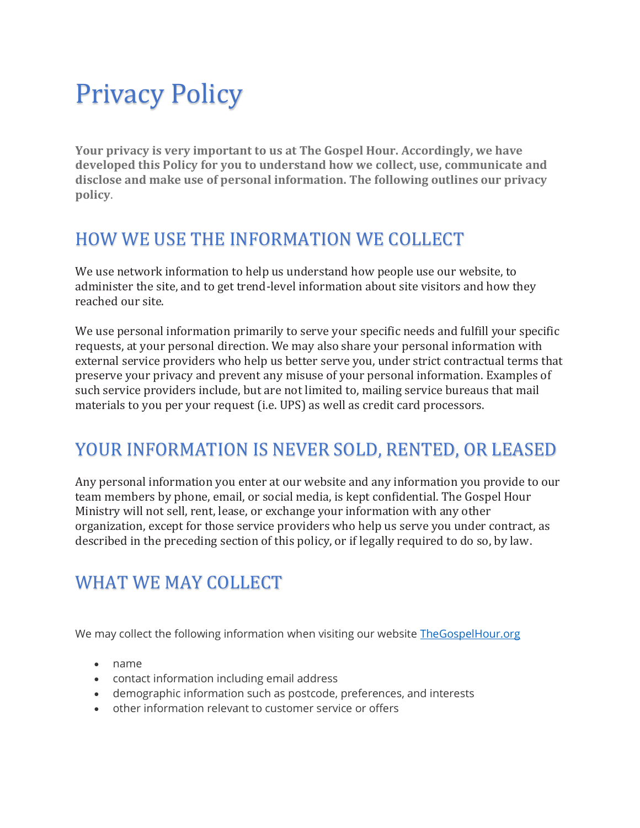# Privacy Policy

**Your privacy is very important to us at The Gospel Hour. Accordingly, we have developed this Policy for you to understand how we collect, use, communicate and disclose and make use of personal information. The following outlines our privacy policy**.

#### HOW WE USE THE INFORMATION WE COLLECT

We use network information to help us understand how people use our website, to administer the site, and to get trend-level information about site visitors and how they reached our site.

We use personal information primarily to serve your specific needs and fulfill your specific requests, at your personal direction. We may also share your personal information with external service providers who help us better serve you, under strict contractual terms that preserve your privacy and prevent any misuse of your personal information. Examples of such service providers include, but are not limited to, mailing service bureaus that mail materials to you per your request (i.e. UPS) as well as credit card processors.

### YOUR INFORMATION IS NEVER SOLD, RENTED, OR LEASED

Any personal information you enter at our website and any information you provide to our team members by phone, email, or social media, is kept confidential. The Gospel Hour Ministry will not sell, rent, lease, or exchange your information with any other organization, except for those service providers who help us serve you under contract, as described in the preceding section of this policy, or if legally required to do so, by law.

### WHAT WE MAY COLLECT

We may collect the following information when visiting our websit[e TheGospelHour.org](https://thegospelhour.org/)

- name
- contact information including email address
- demographic information such as postcode, preferences, and interests
- other information relevant to customer service or offers